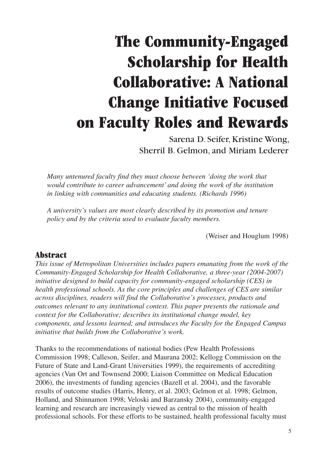# **The Community-Engaged Scholarship for Health Collaborative: A National Change Initiative Focused on Faculty Roles and Rewards**

Sarena D. Seifer, Kristine Wong, Sherril B. Gelmon, and Miriam Lederer

*Many untenured faculty find they must choose between 'doing the work that would contribute to career advancement' and doing the work of the institution in linking with communities and educating students. (Richards 1996)*

*A university's values are most clearly described by its promotion and tenure policy and by the criteria used to evaluate faculty members.* 

(Weiser and Houglum 1998)

#### **Abstract**

*This issue of Metropolitan Universities includes papers emanating from the work of the Community-Engaged Scholarship for Health Collaborative, a three-year (2004-2007) initiative designed to build capacity for community-engaged scholarship (CES) in health professional schools. As the core principles and challenges of CES are similar across disciplines, readers will find the Collaborative's processes, products and outcomes relevant to any institutional context. This paper presents the rationale and context for the Collaborative; describes its institutional change model, key components, and lessons learned; and introduces the Faculty for the Engaged Campus initiative that builds from the Collaborative's work.*

Thanks to the recommendations of national bodies (Pew Health Professions Commission 1998; Calleson, Seifer, and Maurana 2002; Kellogg Commission on the Future of State and Land-Grant Universities 1999), the requirements of accrediting agencies (Van Ort and Townsend 2000; Liaison Committee on Medical Education 2006), the investments of funding agencies (Bazell et al. 2004), and the favorable results of outcome studies (Harris, Henry, et al. 2003; Gelmon et al. 1998; Gelmon, Holland, and Shinnamon 1998; Veloski and Barzansky 2004), community-engaged learning and research are increasingly viewed as central to the mission of health professional schools. For these efforts to be sustained, health professional faculty must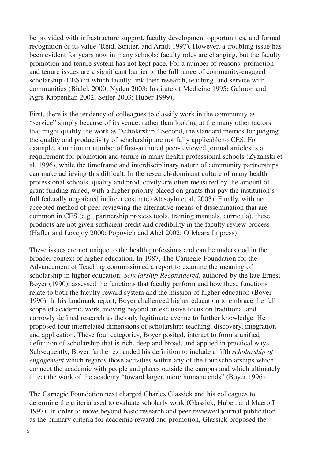be provided with infrastructure support, faculty development opportunities, and formal recognition of its value (Reid, Stritter, and Arndt 1997). However, a troubling issue has been evident for years now in many schools: faculty roles are changing, but the faculty promotion and tenure system has not kept pace. For a number of reasons, promotion and tenure issues are a significant barrier to the full range of community-engaged scholarship (CES) in which faculty link their research, teaching, and service with communities (Bialek 2000; Nyden 2003; Institute of Medicine 1995; Gelmon and Agre-Kippenhan 2002; Seifer 2003; Huber 1999).

First, there is the tendency of colleagues to classify work in the community as "service" simply because of its venue, rather than looking at the many other factors that might qualify the work as "scholarship." Second, the standard metrics for judging the quality and productivity of scholarship are not fully applicable to CES. For example, a minimum number of first-authored peer-reviewed journal articles is a requirement for promotion and tenure in many health professional schools (Zyzanski et al. 1996), while the timeframe and interdisciplinary nature of community partnerships can make achieving this difficult. In the research-dominant culture of many health professional schools, quality and productivity are often measured by the amount of grant funding raised, with a higher priority placed on grants that pay the institution's full federally negotiated indirect cost rate (Atasoylu et al. 2003). Finally, with no accepted method of peer reviewing the alternative means of dissemination that are common in CES (e.g., partnership process tools, training manuals, curricula), these products are not given sufficient credit and credibility in the faculty review process (Hafler and Lovejoy 2000; Popovich and Abel 2002; O'Meara In press).

These issues are not unique to the health professions and can be understood in the broader context of higher education. In 1987, The Carnegie Foundation for the Advancement of Teaching commissioned a report to examine the meaning of scholarship in higher education. *Scholarship Reconsidered*, authored by the late Ernest Boyer (1990), assessed the functions that faculty perform and how these functions relate to both the faculty reward system and the mission of higher education (Boyer 1990). In his landmark report, Boyer challenged higher education to embrace the full scope of academic work, moving beyond an exclusive focus on traditional and narrowly defined research as the only legitimate avenue to further knowledge. He proposed four interrelated dimensions of scholarship: teaching, discovery, integration and application. These four categories, Boyer posited, interact to form a unified definition of scholarship that is rich, deep and broad, and applied in practical ways. Subsequently, Boyer further expanded his definition to include a fifth *scholarship of engagement* which regards those activities within any of the four scholarships which connect the academic with people and places outside the campus and which ultimately direct the work of the academy "toward larger, more humane ends" (Boyer 1996).

The Carnegie Foundation next charged Charles Glassick and his colleagues to determine the criteria used to evaluate scholarly work (Glassick, Huber, and Maeroff 1997). In order to move beyond basic research and peer-reviewed journal publication as the primary criteria for academic reward and promotion, Glassick proposed the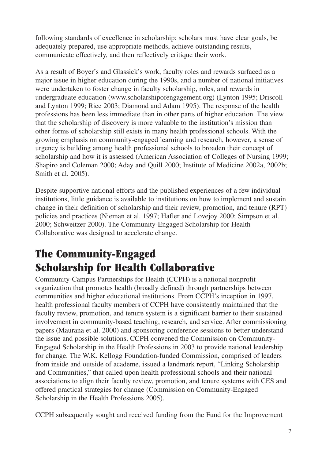following standards of excellence in scholarship: scholars must have clear goals, be adequately prepared, use appropriate methods, achieve outstanding results, communicate effectively, and then reflectively critique their work.

As a result of Boyer's and Glassick's work, faculty roles and rewards surfaced as a major issue in higher education during the 1990s, and a number of national initiatives were undertaken to foster change in faculty scholarship, roles, and rewards in undergraduate education (www.scholarshipofengagement.org) (Lynton 1995; Driscoll and Lynton 1999; Rice 2003; Diamond and Adam 1995). The response of the health professions has been less immediate than in other parts of higher education. The view that the scholarship of discovery is more valuable to the institution's mission than other forms of scholarship still exists in many health professional schools. With the growing emphasis on community-engaged learning and research, however, a sense of urgency is building among health professional schools to broaden their concept of scholarship and how it is assessed (American Association of Colleges of Nursing 1999; Shapiro and Coleman 2000; Aday and Quill 2000; Institute of Medicine 2002a, 2002b; Smith et al. 2005).

Despite supportive national efforts and the published experiences of a few individual institutions, little guidance is available to institutions on how to implement and sustain change in their definition of scholarship and their review, promotion, and tenure (RPT) policies and practices (Nieman et al. 1997; Hafler and Lovejoy 2000; Simpson et al. 2000; Schweitzer 2000). The Community-Engaged Scholarship for Health Collaborative was designed to accelerate change.

# **The Community-Engaged Scholarship for Health Collaborative**

Community-Campus Partnerships for Health (CCPH) is a national nonprofit organization that promotes health (broadly defined) through partnerships between communities and higher educational institutions. From CCPH's inception in 1997, health professional faculty members of CCPH have consistently maintained that the faculty review, promotion, and tenure system is a significant barrier to their sustained involvement in community-based teaching, research, and service. After commissioning papers (Maurana et al. 2000) and sponsoring conference sessions to better understand the issue and possible solutions, CCPH convened the Commission on Community-Engaged Scholarship in the Health Professions in 2003 to provide national leadership for change. The W.K. Kellogg Foundation-funded Commission, comprised of leaders from inside and outside of academe, issued a landmark report, "Linking Scholarship and Communities," that called upon health professional schools and their national associations to align their faculty review, promotion, and tenure systems with CES and offered practical strategies for change (Commission on Community-Engaged Scholarship in the Health Professions 2005).

CCPH subsequently sought and received funding from the Fund for the Improvement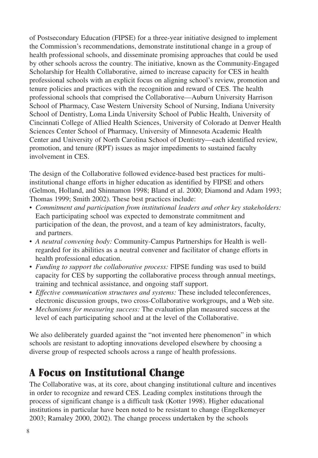of Postsecondary Education (FIPSE) for a three-year initiative designed to implement the Commission's recommendations, demonstrate institutional change in a group of health professional schools, and disseminate promising approaches that could be used by other schools across the country. The initiative, known as the Community-Engaged Scholarship for Health Collaborative, aimed to increase capacity for CES in health professional schools with an explicit focus on aligning school's review, promotion and tenure policies and practices with the recognition and reward of CES. The health professional schools that comprised the Collaborative—Auburn University Harrison School of Pharmacy, Case Western University School of Nursing, Indiana University School of Dentistry, Loma Linda University School of Public Health, University of Cincinnati College of Allied Health Sciences, University of Colorado at Denver Health Sciences Center School of Pharmacy, University of Minnesota Academic Health Center and University of North Carolina School of Dentistry—each identified review, promotion, and tenure (RPT) issues as major impediments to sustained faculty involvement in CES.

The design of the Collaborative followed evidence-based best practices for multiinstitutional change efforts in higher education as identified by FIPSE and others (Gelmon, Holland, and Shinnamon 1998; Bland et al. 2000; Diamond and Adam 1993; Thomas 1999; Smith 2002). These best practices include:

- *Commitment and participation from institutional leaders and other key stakeholders:* Each participating school was expected to demonstrate commitment and participation of the dean, the provost, and a team of key administrators, faculty, and partners.
- *A neutral convening body:* Community-Campus Partnerships for Health is wellregarded for its abilities as a neutral convener and facilitator of change efforts in health professional education.
- *Funding to support the collaborative process:* FIPSE funding was used to build capacity for CES by supporting the collaborative process through annual meetings, training and technical assistance, and ongoing staff support.
- *Effective communication structures and systems:* These included teleconferences, electronic discussion groups, two cross-Collaborative workgroups, and a Web site.
- *Mechanisms for measuring success:* The evaluation plan measured success at the level of each participating school and at the level of the Collaborative.

We also deliberately guarded against the "not invented here phenomenon" in which schools are resistant to adopting innovations developed elsewhere by choosing a diverse group of respected schools across a range of health professions.

### **A Focus on Institutional Change**

The Collaborative was, at its core, about changing institutional culture and incentives in order to recognize and reward CES. Leading complex institutions through the process of significant change is a difficult task (Kotter 1998). Higher educational institutions in particular have been noted to be resistant to change (Engelkemeyer 2003; Ramaley 2000, 2002). The change process undertaken by the schools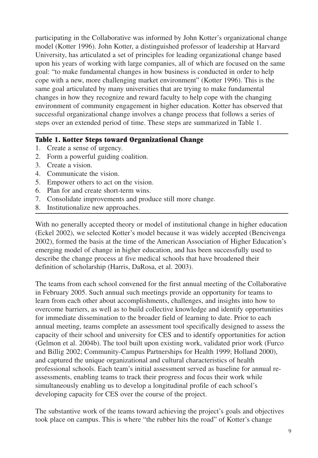participating in the Collaborative was informed by John Kotter's organizational change model (Kotter 1996). John Kotter, a distinguished professor of leadership at Harvard University, has articulated a set of principles for leading organizational change based upon his years of working with large companies, all of which are focused on the same goal: "to make fundamental changes in how business is conducted in order to help cope with a new, more challenging market environment" (Kotter 1996). This is the same goal articulated by many universities that are trying to make fundamental changes in how they recognize and reward faculty to help cope with the changing environment of community engagement in higher education. Kotter has observed that successful organizational change involves a change process that follows a series of steps over an extended period of time. These steps are summarized in Table 1.

#### **Table 1. Kotter Steps toward Organizational Change**

- 1. Create a sense of urgency.
- 2. Form a powerful guiding coalition.
- 3. Create a vision.
- 4. Communicate the vision.
- 5. Empower others to act on the vision.
- 6. Plan for and create short-term wins.
- 7. Consolidate improvements and produce still more change.
- 8. Institutionalize new approaches.

With no generally accepted theory or model of institutional change in higher education (Eckel 2002), we selected Kotter's model because it was widely accepted (Bencivenga 2002), formed the basis at the time of the American Association of Higher Education's emerging model of change in higher education, and has been successfully used to describe the change process at five medical schools that have broadened their definition of scholarship (Harris, DaRosa, et al. 2003).

The teams from each school convened for the first annual meeting of the Collaborative in February 2005. Such annual such meetings provide an opportunity for teams to learn from each other about accomplishments, challenges, and insights into how to overcome barriers, as well as to build collective knowledge and identify opportunities for immediate dissemination to the broader field of learning to date. Prior to each annual meeting, teams complete an assessment tool specifically designed to assess the capacity of their school and university for CES and to identify opportunities for action (Gelmon et al. 2004b). The tool built upon existing work, validated prior work (Furco and Billig 2002; Community-Campus Partnerships for Health 1999; Holland 2000), and captured the unique organizational and cultural characteristics of health professional schools. Each team's initial assessment served as baseline for annual reassessments, enabling teams to track their progress and focus their work while simultaneously enabling us to develop a longitudinal profile of each school's developing capacity for CES over the course of the project.

The substantive work of the teams toward achieving the project's goals and objectives took place on campus. This is where "the rubber hits the road" of Kotter's change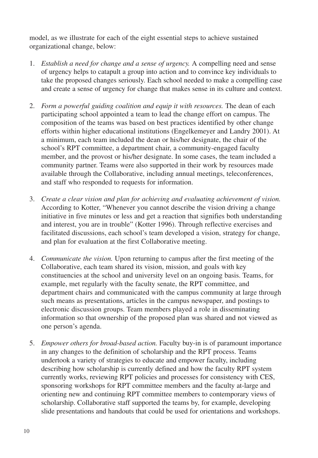model, as we illustrate for each of the eight essential steps to achieve sustained organizational change, below:

- 1. *Establish a need for change and a sense of urgency.* A compelling need and sense of urgency helps to catapult a group into action and to convince key individuals to take the proposed changes seriously. Each school needed to make a compelling case and create a sense of urgency for change that makes sense in its culture and context.
- 2. *Form a powerful guiding coalition and equip it with resources.* The dean of each participating school appointed a team to lead the change effort on campus. The composition of the teams was based on best practices identified by other change efforts within higher educational institutions (Engelkemeyer and Landry 2001). At a minimum, each team included the dean or his/her designate, the chair of the school's RPT committee, a department chair, a community-engaged faculty member, and the provost or his/her designate. In some cases, the team included a community partner. Teams were also supported in their work by resources made available through the Collaborative, including annual meetings, teleconferences, and staff who responded to requests for information.
- 3. *Create a clear vision and plan for achieving and evaluating achievement of vision.* According to Kotter, "Whenever you cannot describe the vision driving a change initiative in five minutes or less and get a reaction that signifies both understanding and interest, you are in trouble" (Kotter 1996). Through reflective exercises and facilitated discussions, each school's team developed a vision, strategy for change, and plan for evaluation at the first Collaborative meeting.
- 4. *Communicate the vision.* Upon returning to campus after the first meeting of the Collaborative, each team shared its vision, mission, and goals with key constituencies at the school and university level on an ongoing basis. Teams, for example, met regularly with the faculty senate, the RPT committee, and department chairs and communicated with the campus community at large through such means as presentations, articles in the campus newspaper, and postings to electronic discussion groups. Team members played a role in disseminating information so that ownership of the proposed plan was shared and not viewed as one person's agenda.
- 5. *Empower others for broad-based action.* Faculty buy-in is of paramount importance in any changes to the definition of scholarship and the RPT process. Teams undertook a variety of strategies to educate and empower faculty, including describing how scholarship is currently defined and how the faculty RPT system currently works, reviewing RPT policies and processes for consistency with CES, sponsoring workshops for RPT committee members and the faculty at-large and orienting new and continuing RPT committee members to contemporary views of scholarship. Collaborative staff supported the teams by, for example, developing slide presentations and handouts that could be used for orientations and workshops.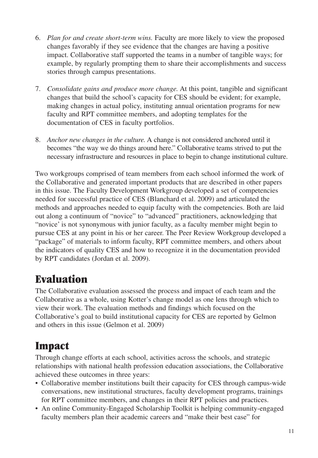- 6. *Plan for and create short-term wins.* Faculty are more likely to view the proposed changes favorably if they see evidence that the changes are having a positive impact. Collaborative staff supported the teams in a number of tangible ways; for example, by regularly prompting them to share their accomplishments and success stories through campus presentations.
- 7. *Consolidate gains and produce more change.* At this point, tangible and significant changes that build the school's capacity for CES should be evident; for example, making changes in actual policy, instituting annual orientation programs for new faculty and RPT committee members, and adopting templates for the documentation of CES in faculty portfolios.
- 8. *Anchor new changes in the culture.* A change is not considered anchored until it becomes "the way we do things around here." Collaborative teams strived to put the necessary infrastructure and resources in place to begin to change institutional culture.

Two workgroups comprised of team members from each school informed the work of the Collaborative and generated important products that are described in other papers in this issue. The Faculty Development Workgroup developed a set of competencies needed for successful practice of CES (Blanchard et al. 2009) and articulated the methods and approaches needed to equip faculty with the competencies. Both are laid out along a continuum of "novice" to "advanced" practitioners, acknowledging that "novice' is not synonymous with junior faculty, as a faculty member might begin to pursue CES at any point in his or her career. The Peer Review Workgroup developed a "package" of materials to inform faculty, RPT committee members, and others about the indicators of quality CES and how to recognize it in the documentation provided by RPT candidates (Jordan et al. 2009).

### **Evaluation**

The Collaborative evaluation assessed the process and impact of each team and the Collaborative as a whole, using Kotter's change model as one lens through which to view their work. The evaluation methods and findings which focused on the Collaborative's goal to build institutional capacity for CES are reported by Gelmon and others in this issue (Gelmon et al. 2009)

## **Impact**

Through change efforts at each school, activities across the schools, and strategic relationships with national health profession education associations, the Collaborative achieved these outcomes in three years:

- Collaborative member institutions built their capacity for CES through campus-wide conversations, new institutional structures, faculty development programs, trainings for RPT committee members, and changes in their RPT policies and practices.
- An online Community-Engaged Scholarship Toolkit is helping community-engaged faculty members plan their academic careers and "make their best case" for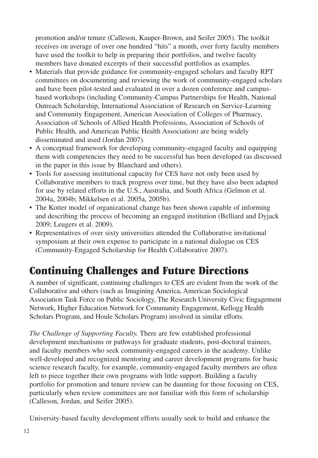promotion and/or tenure (Calleson, Kauper-Brown, and Seifer 2005). The toolkit receives on average of over one hundred "hits" a month, over forty faculty members have used the toolkit to help in preparing their portfolios, and twelve faculty members have donated excerpts of their successful portfolios as examples.

- Materials that provide guidance for community-engaged scholars and faculty RPT committees on documenting and reviewing the work of community-engaged scholars and have been pilot-tested and evaluated in over a dozen conference and campusbased workshops (including Community-Campus Partnerships for Health, National Outreach Scholarship, International Association of Research on Service-Learning and Community Engagement, American Association of Colleges of Pharmacy, Association of Schools of Allied Health Professions, Association of Schools of Public Health, and American Public Health Association) are being widely disseminated and used (Jordan 2007).
- A conceptual framework for developing community-engaged faculty and equipping them with competencies they need to be successful has been developed (as discussed in the paper in this issue by Blanchard and others).
- Tools for assessing institutional capacity for CES have not only been used by Collaborative members to track progress over time, but they have also been adapted for use by related efforts in the U.S., Australia, and South Africa (Gelmon et al. 2004a, 2004b; Mikkelsen et al. 2005a, 2005b).
- The Kotter model of organizational change has been shown capable of informing and describing the process of becoming an engaged institution (Belliard and Dyjack 2009; Leugers et al. 2009).
- Representatives of over sixty universities attended the Collaborative invitational symposium at their own expense to participate in a national dialogue on CES (Community-Engaged Scholarship for Health Collaborative 2007).

## **Continuing Challenges and Future Directions**

A number of significant, continuing challenges to CES are evident from the work of the Collaborative and others (such as Imagining America, American Sociological Association Task Force on Public Sociology, The Research University Civic Engagement Network, Higher Education Network for Community Engagement, Kellogg Health Scholars Program, and Houle Scholars Program) involved in similar efforts.

*The Challenge of Supporting Faculty.* There are few established professional development mechanisms or pathways for graduate students, post-doctoral trainees, and faculty members who seek community-engaged careers in the academy. Unlike well-developed and recognized mentoring and career development programs for basic science research faculty, for example, community-engaged faculty members are often left to piece together their own programs with little support. Building a faculty portfolio for promotion and tenure review can be daunting for those focusing on CES, particularly when review committees are not familiar with this form of scholarship (Calleson, Jordan, and Seifer 2005).

University-based faculty development efforts usually seek to build and enhance the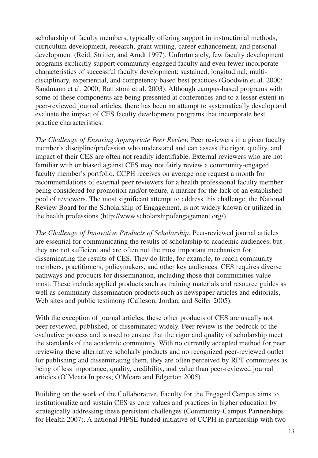scholarship of faculty members, typically offering support in instructional methods, curriculum development, research, grant writing, career enhancement, and personal development (Reid, Stritter, and Arndt 1997). Unfortunately, few faculty development programs explicitly support community-engaged faculty and even fewer incorporate characteristics of successful faculty development: sustained, longitudinal, multidisciplinary, experiential, and competency-based best practices (Goodwin et al. 2000; Sandmann et al. 2000; Battistoni et al. 2003). Although campus-based programs with some of these components are being presented at conferences and to a lesser extent in peer-reviewed journal articles, there has been no attempt to systematically develop and evaluate the impact of CES faculty development programs that incorporate best practice characteristics.

*The Challenge of Ensuring Appropriate Peer Review.* Peer reviewers in a given faculty member's discipline/profession who understand and can assess the rigor, quality, and impact of their CES are often not readily identifiable. External reviewers who are not familiar with or biased against CES may not fairly review a community-engaged faculty member's portfolio. CCPH receives on average one request a month for recommendations of external peer reviewers for a health professional faculty member being considered for promotion and/or tenure, a marker for the lack of an established pool of reviewers. The most significant attempt to address this challenge, the National Review Board for the Scholarship of Engagement, is not widely known or utilized in the health professions (http://www.scholarshipofengagement.org/).

*The Challenge of Innovative Products of Scholarship.* Peer-reviewed journal articles are essential for communicating the results of scholarship to academic audiences, but they are not sufficient and are often not the most important mechanism for disseminating the results of CES. They do little, for example, to reach community members, practitioners, policymakers, and other key audiences. CES requires diverse pathways and products for dissemination, including those that communities value most. These include applied products such as training materials and resource guides as well as community dissemination products such as newspaper articles and editorials, Web sites and public testimony (Calleson, Jordan, and Seifer 2005).

With the exception of journal articles, these other products of CES are usually not peer-reviewed, published, or disseminated widely. Peer review is the bedrock of the evaluative process and is used to ensure that the rigor and quality of scholarship meet the standards of the academic community. With no currently accepted method for peer reviewing these alternative scholarly products and no recognized peer-reviewed outlet for publishing and disseminating them, they are often perceived by RPT committees as being of less importance, quality, credibility, and value than peer-reviewed journal articles (O'Meara In press; O'Meara and Edgerton 2005).

Building on the work of the Collaborative, Faculty for the Engaged Campus aims to institutionalize and sustain CES as core values and practices in higher education by strategically addressing these persistent challenges (Community-Campus Partnerships for Health 2007). A national FIPSE-funded initiative of CCPH in partnership with two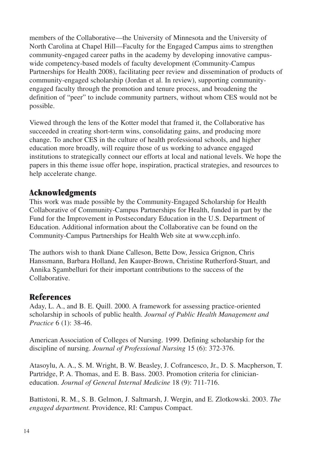members of the Collaborative—the University of Minnesota and the University of North Carolina at Chapel Hill—Faculty for the Engaged Campus aims to strengthen community-engaged career paths in the academy by developing innovative campuswide competency-based models of faculty development (Community-Campus Partnerships for Health 2008), facilitating peer review and dissemination of products of community-engaged scholarship (Jordan et al. In review), supporting communityengaged faculty through the promotion and tenure process, and broadening the definition of "peer" to include community partners, without whom CES would not be possible.

Viewed through the lens of the Kotter model that framed it, the Collaborative has succeeded in creating short-term wins, consolidating gains, and producing more change. To anchor CES in the culture of health professional schools, and higher education more broadly, will require those of us working to advance engaged institutions to strategically connect our efforts at local and national levels. We hope the papers in this theme issue offer hope, inspiration, practical strategies, and resources to help accelerate change.

### **Acknowledgments**

This work was made possible by the Community-Engaged Scholarship for Health Collaborative of Community-Campus Partnerships for Health, funded in part by the Fund for the Improvement in Postsecondary Education in the U.S. Department of Education. Additional information about the Collaborative can be found on the Community-Campus Partnerships for Health Web site at www.ccph.info.

The authors wish to thank Diane Calleson, Bette Dow, Jessica Grignon, Chris Hanssmann, Barbara Holland, Jen Kauper-Brown, Christine Rutherford-Stuart, and Annika Sgambelluri for their important contributions to the success of the Collaborative.

### **References**

Aday, L. A., and B. E. Quill. 2000. A framework for assessing practice-oriented scholarship in schools of public health. *Journal of Public Health Management and Practice* 6 (1): 38-46.

American Association of Colleges of Nursing. 1999. Defining scholarship for the discipline of nursing. *Journal of Professional Nursing* 15 (6): 372-376.

Atasoylu, A. A., S. M. Wright, B. W. Beasley, J. Cofrancesco, Jr., D. S. Macpherson, T. Partridge, P. A. Thomas, and E. B. Bass. 2003. Promotion criteria for clinicianeducation. *Journal of General Internal Medicine* 18 (9): 711-716.

Battistoni, R. M., S. B. Gelmon, J. Saltmarsh, J. Wergin, and E. Zlotkowski. 2003. *The engaged department.* Providence, RI: Campus Compact.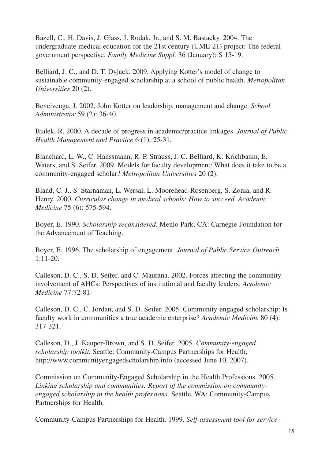Bazell, C., H. Davis, J. Glass, J. Rodak, Jr., and S. M. Bastacky. 2004. The undergraduate medical education for the 21st century (UME-21) project: The federal government perspective. *Family Medicine Suppl.* 36 (January): S 15-19.

Belliard, J. C., and D. T. Dyjack. 2009. Applying Kotter's model of change to sustainable community-engaged scholarship at a school of public health. *Metropolitan Universities* 20 (2).

Bencivenga, J. 2002. John Kotter on leadership, management and change. *School Administrator* 59 (2): 36-40.

Bialek, R. 2000. A decade of progress in academic/practice linkages. *Journal of Public Health Management and Practice* 6 (1): 25-31.

Blanchard, L. W., C. Hanssmann, R. P. Strauss, J. C. Belliard, K. Krichbaum, E. Waters, and S. Seifer. 2009. Models for faculty development: What does it take to be a community-engaged scholar? *Metropolitan Universities* 20 (2).

Bland, C. J., S. Starnaman, L. Wersal, L. Moorehead-Rosenberg, S. Zonia, and R. Henry. 2000. *Curricular change in medical schools: How to succeed. Academic Medicine* 75 (6): 575-594.

Boyer, E. 1990. *Scholarship reconsidered.* Menlo Park, CA: Carnegie Foundation for the Advancement of Teaching.

Boyer, E. 1996. The scholarship of engagement. *Journal of Public Service Outreach* 1:11-20.

Calleson, D. C., S. D. Seifer, and C. Maurana. 2002. Forces affecting the community involvement of AHCs: Perspectives of institutional and faculty leaders. *Academic Medicine* 77:72-81.

Calleson, D. C., C. Jordan, and S. D. Seifer. 2005. Community-engaged scholarship: Is faculty work in communities a true academic enterprise? *Academic Medicine* 80 (4): 317-321.

Calleson, D., J. Kauper-Brown, and S. D. Seifer. 2005. *Community-engaged scholarship toolkit.* Seattle: Community-Campus Partnerships for Health, http://www.communityengagedscholarship.info (accessed June 10, 2007).

Commission on Community-Engaged Scholarship in the Health Professions. 2005. *Linking scholarship and communities: Report of the commission on communityengaged scholarship in the health professions.* Seattle, WA: Community-Campus Partnerships for Health.

Community-Campus Partnerships for Health. 1999. *Self-assessment tool for service-*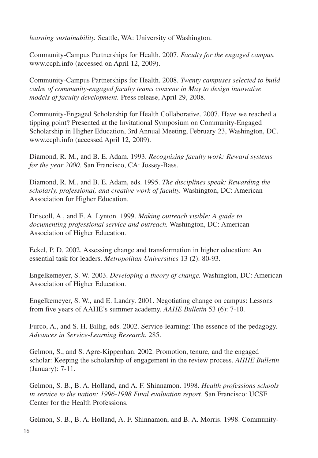*learning sustainability.* Seattle, WA: University of Washington.

Community-Campus Partnerships for Health. 2007. *Faculty for the engaged campus.* www.ccph.info (accessed on April 12, 2009).

Community-Campus Partnerships for Health. 2008. *Twenty campuses selected to build cadre of community-engaged faculty teams convene in May to design innovative models of faculty development.* Press release, April 29, 2008.

Community-Engaged Scholarship for Health Collaborative. 2007. Have we reached a tipping point? Presented at the Invitational Symposium on Community-Engaged Scholarship in Higher Education, 3rd Annual Meeting, February 23, Washington, DC. www.ccph.info (accessed April 12, 2009).

Diamond, R. M., and B. E. Adam. 1993. *Recognizing faculty work: Reward systems for the year 2000.* San Francisco, CA: Jossey-Bass.

Diamond, R. M., and B. E. Adam, eds. 1995. *The disciplines speak: Rewarding the scholarly, professional, and creative work of faculty.* Washington, DC: American Association for Higher Education.

Driscoll, A., and E. A. Lynton. 1999. *Making outreach visible: A guide to documenting professional service and outreach.* Washington, DC: American Association of Higher Education.

Eckel, P. D. 2002. Assessing change and transformation in higher education: An essential task for leaders. *Metropolitan Universities* 13 (2): 80-93.

Engelkemeyer, S. W. 2003. *Developing a theory of change.* Washington, DC: American Association of Higher Education.

Engelkemeyer, S. W., and E. Landry. 2001. Negotiating change on campus: Lessons from five years of AAHE's summer academy. *AAHE Bulletin* 53 (6): 7-10.

Furco, A., and S. H. Billig, eds. 2002. Service-learning: The essence of the pedagogy. *Advances in Service-Learning Research*, 285.

Gelmon, S., and S. Agre-Kippenhan. 2002. Promotion, tenure, and the engaged scholar: Keeping the scholarship of engagement in the review process. *AHHE Bulletin* (January): 7-11.

Gelmon, S. B., B. A. Holland, and A. F. Shinnamon. 1998. *Health professions schools in service to the nation: 1996-1998 Final evaluation report.* San Francisco: UCSF Center for the Health Professions.

Gelmon, S. B., B. A. Holland, A. F. Shinnamon, and B. A. Morris. 1998. Community-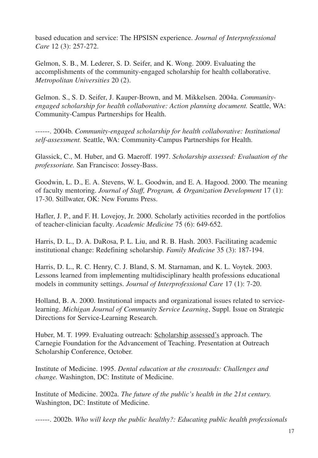based education and service: The HPSISN experience. *Journal of Interprofessional Care* 12 (3): 257-272.

Gelmon, S. B., M. Lederer, S. D. Seifer, and K. Wong. 2009. Evaluating the accomplishments of the community-engaged scholarship for health collaborative. *Metropolitan Universities* 20 (2).

Gelmon. S., S. D. Seifer, J. Kauper-Brown, and M. Mikkelsen. 2004a. *Communityengaged scholarship for health collaborative: Action planning document.* Seattle, WA: Community-Campus Partnerships for Health.

------. 2004b. *Community-engaged scholarship for health collaborative: Institutional self-assessment.* Seattle, WA: Community-Campus Partnerships for Health.

Glassick, C., M. Huber, and G. Maeroff. 1997. *Scholarship assessed: Evaluation of the professoriate.* San Francisco: Jossey-Bass.

Goodwin, L. D., E. A. Stevens, W. L. Goodwin, and E. A. Hagood. 2000. The meaning of faculty mentoring. *Journal of Staff, Program, & Organization Development* 17 (1): 17-30. Stillwater, OK: New Forums Press.

Hafler, J. P., and F. H. Lovejoy, Jr. 2000. Scholarly activities recorded in the portfolios of teacher-clinician faculty. *Academic Medicine* 75 (6): 649-652.

Harris, D. L., D. A. DaRosa, P. L. Liu, and R. B. Hash. 2003. Facilitating academic institutional change: Redefining scholarship. *Family Medicine* 35 (3): 187-194.

Harris, D. L., R. C. Henry, C. J. Bland, S. M. Starnaman, and K. L. Voytek. 2003. Lessons learned from implementing multidisciplinary health professions educational models in community settings. *Journal of Interprofessional Care* 17 (1): 7-20.

Holland, B. A. 2000. Institutional impacts and organizational issues related to servicelearning. *Michigan Journal of Community Service Learning*, Suppl. Issue on Strategic Directions for Service-Learning Research.

Huber, M. T. 1999. Evaluating outreach: Scholarship assessed's approach. The Carnegie Foundation for the Advancement of Teaching. Presentation at Outreach Scholarship Conference, October.

Institute of Medicine. 1995. *Dental education at the crossroads: Challenges and change.* Washington, DC: Institute of Medicine.

Institute of Medicine. 2002a. *The future of the public's health in the 21st century.* Washington, DC: Institute of Medicine.

------. 2002b. *Who will keep the public healthy?: Educating public health professionals*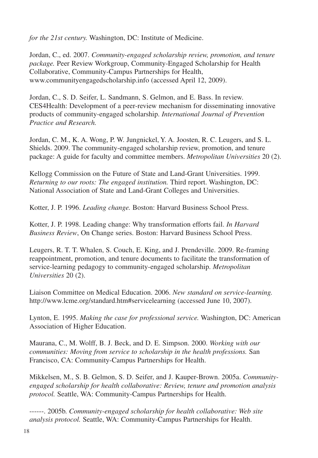*for the 21st century.* Washington, DC: Institute of Medicine.

Jordan, C., ed. 2007. *Community-engaged scholarship review, promotion, and tenure package.* Peer Review Workgroup, Community-Engaged Scholarship for Health Collaborative, Community-Campus Partnerships for Health, www.communityengagedscholarship.info (accessed April 12, 2009).

Jordan, C., S. D. Seifer, L. Sandmann, S. Gelmon, and E. Bass. In review. CES4Health: Development of a peer-review mechanism for disseminating innovative products of community-engaged scholarship. *International Journal of Prevention Practice and Research.*

Jordan, C. M., K. A. Wong, P. W. Jungnickel, Y. A. Joosten, R. C. Leugers, and S. L. Shields. 2009. The community-engaged scholarship review, promotion, and tenure package: A guide for faculty and committee members. *Metropolitan Universities* 20 (2).

Kellogg Commission on the Future of State and Land-Grant Universities. 1999. *Returning to our roots: The engaged institution.* Third report. Washington, DC: National Association of State and Land-Grant Colleges and Universities.

Kotter, J. P. 1996. *Leading change.* Boston: Harvard Business School Press.

Kotter, J. P. 1998. Leading change: Why transformation efforts fail. *In Harvard Business Review*, On Change series. Boston: Harvard Business School Press.

Leugers, R. T. T. Whalen, S. Couch, E. King, and J. Prendeville. 2009. Re-framing reappointment, promotion, and tenure documents to facilitate the transformation of service-learning pedagogy to community-engaged scholarship. *Metropolitan Universities* 20 (2).

Liaison Committee on Medical Education. 2006. *New standard on service-learning.* http://www.lcme.org/standard.htm#servicelearning (accessed June 10, 2007).

Lynton, E. 1995. *Making the case for professional service.* Washington, DC: American Association of Higher Education.

Maurana, C., M. Wolff, B. J. Beck, and D. E. Simpson. 2000. *Working with our communities: Moving from service to scholarship in the health professions.* San Francisco, CA: Community-Campus Partnerships for Health.

Mikkelsen, M., S. B. Gelmon, S. D. Seifer, and J. Kauper-Brown. 2005a. *Communityengaged scholarship for health collaborative: Review, tenure and promotion analysis protocol.* Seattle, WA: Community-Campus Partnerships for Health.

------. 2005b. *Community-engaged scholarship for health collaborative: Web site analysis protocol.* Seattle, WA: Community-Campus Partnerships for Health.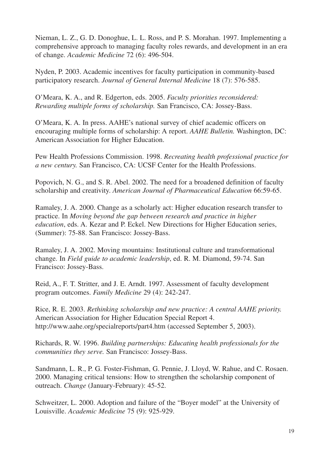Nieman, L. Z., G. D. Donoghue, L. L. Ross, and P. S. Morahan. 1997. Implementing a comprehensive approach to managing faculty roles rewards, and development in an era of change. *Academic Medicine* 72 (6): 496-504.

Nyden, P. 2003. Academic incentives for faculty participation in community-based participatory research. *Journal of General Internal Medicine* 18 (7): 576-585.

O'Meara, K. A., and R. Edgerton, eds. 2005. *Faculty priorities reconsidered: Rewarding multiple forms of scholarship.* San Francisco, CA: Jossey-Bass.

O'Meara, K. A. In press. AAHE's national survey of chief academic officers on encouraging multiple forms of scholarship: A report. *AAHE Bulletin.* Washington, DC: American Association for Higher Education.

Pew Health Professions Commission. 1998. *Recreating health professional practice for a new century.* San Francisco, CA: UCSF Center for the Health Professions.

Popovich, N. G., and S. R. Abel. 2002. The need for a broadened definition of faculty scholarship and creativity. *American Journal of Pharmaceutical Education* 66:59-65.

Ramaley, J. A. 2000. Change as a scholarly act: Higher education research transfer to practice. In *Moving beyond the gap between research and practice in higher education*, eds. A. Kezar and P. Eckel. New Directions for Higher Education series, (Summer): 75-88. San Francisco: Jossey-Bass.

Ramaley, J. A. 2002. Moving mountains: Institutional culture and transformational change. In *Field guide to academic leadership*, ed. R. M. Diamond, 59-74. San Francisco: Jossey-Bass.

Reid, A., F. T. Stritter, and J. E. Arndt. 1997. Assessment of faculty development program outcomes. *Family Medicine* 29 (4): 242-247.

Rice, R. E. 2003. *Rethinking scholarship and new practice: A central AAHE priority.* American Association for Higher Education Special Report 4. http://www.aahe.org/specialreports/part4.htm (accessed September 5, 2003).

Richards, R. W. 1996. *Building partnerships: Educating health professionals for the communities they serve.* San Francisco: Jossey-Bass.

Sandmann, L. R., P. G. Foster-Fishman, G. Pennie, J. Lloyd, W. Rahue, and C. Rosaen. 2000. Managing critical tensions: How to strengthen the scholarship component of outreach. *Change* (January-February): 45-52.

Schweitzer, L. 2000. Adoption and failure of the "Boyer model" at the University of Louisville. *Academic Medicine* 75 (9): 925-929.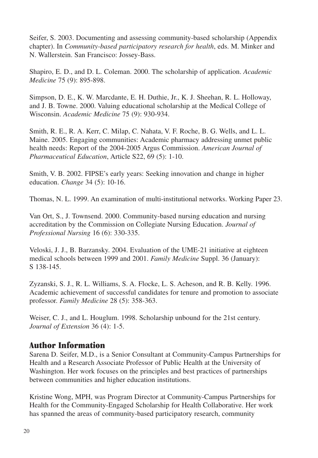Seifer, S. 2003. Documenting and assessing community-based scholarship (Appendix chapter). In *Community-based participatory research for health*, eds. M. Minker and N. Wallerstein. San Francisco: Jossey-Bass.

Shapiro, E. D., and D. L. Coleman. 2000. The scholarship of application. *Academic Medicine* 75 (9): 895-898.

Simpson, D. E., K. W. Marcdante, E. H. Duthie, Jr., K. J. Sheehan, R. L. Holloway, and J. B. Towne. 2000. Valuing educational scholarship at the Medical College of Wisconsin. *Academic Medicine* 75 (9): 930-934.

Smith, R. E., R. A. Kerr, C. Milap, C. Nahata, V. F. Roche, B. G. Wells, and L. L. Maine. 2005. Engaging communities: Academic pharmacy addressing unmet public health needs: Report of the 2004-2005 Argus Commission. *American Journal of Pharmaceutical Education*, Article S22, 69 (5): 1-10.

Smith, V. B. 2002. FIPSE's early years: Seeking innovation and change in higher education. *Change* 34 (5): 10-16.

Thomas, N. L. 1999. An examination of multi-institutional networks. Working Paper 23.

Van Ort, S., J. Townsend. 2000. Community-based nursing education and nursing accreditation by the Commission on Collegiate Nursing Education. *Journal of Professional Nursing* 16 (6): 330-335.

Veloski, J. J., B. Barzansky. 2004. Evaluation of the UME-21 initiative at eighteen medical schools between 1999 and 2001. *Family Medicine* Suppl. 36 (January): S 138-145.

Zyzanski, S. J., R. L. Williams, S. A. Flocke, L. S. Acheson, and R. B. Kelly. 1996. Academic achievement of successful candidates for tenure and promotion to associate professor. *Family Medicine* 28 (5): 358-363.

Weiser, C. J., and L. Houglum. 1998. Scholarship unbound for the 21st century. *Journal of Extension* 36 (4): 1-5.

### **Author Information**

Sarena D. Seifer, M.D., is a Senior Consultant at Community-Campus Partnerships for Health and a Research Associate Professor of Public Health at the University of Washington. Her work focuses on the principles and best practices of partnerships between communities and higher education institutions.

Kristine Wong, MPH, was Program Director at Community-Campus Partnerships for Health for the Community-Engaged Scholarship for Health Collaborative. Her work has spanned the areas of community-based participatory research, community